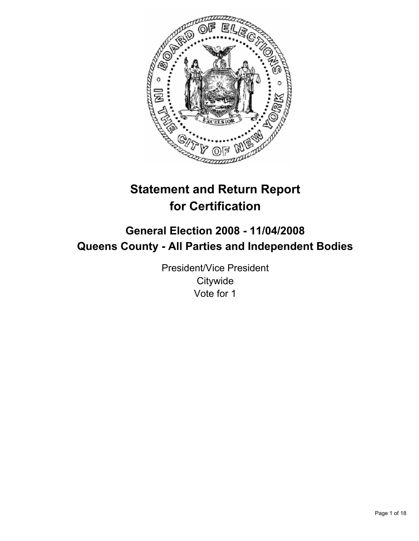

# **Statement and Return Report for Certification**

## **General Election 2008 - 11/04/2008 Queens County - All Parties and Independent Bodies**

President/Vice President **Citywide** Vote for 1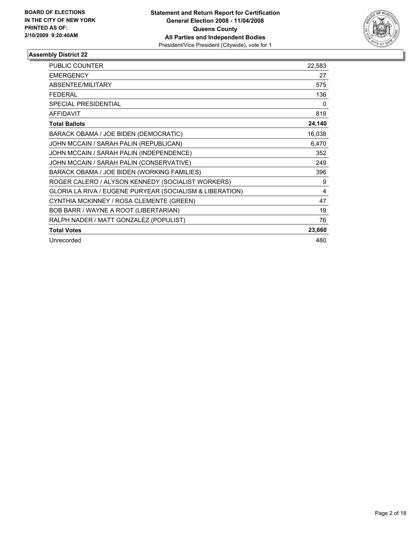

| <b>PUBLIC COUNTER</b>                                    | 22,583 |
|----------------------------------------------------------|--------|
| <b>EMERGENCY</b>                                         | 27     |
| ABSENTEE/MILITARY                                        | 575    |
| <b>FEDERAL</b>                                           | 136    |
| SPECIAL PRESIDENTIAL                                     | 0      |
| <b>AFFIDAVIT</b>                                         | 819    |
| <b>Total Ballots</b>                                     | 24,140 |
| BARACK OBAMA / JOE BIDEN (DEMOCRATIC)                    | 16,038 |
| JOHN MCCAIN / SARAH PALIN (REPUBLICAN)                   | 6,470  |
| JOHN MCCAIN / SARAH PALIN (INDEPENDENCE)                 | 352    |
| JOHN MCCAIN / SARAH PALIN (CONSERVATIVE)                 | 249    |
| BARACK OBAMA / JOE BIDEN (WORKING FAMILIES)              | 396    |
| ROGER CALERO / ALYSON KENNEDY (SOCIALIST WORKERS)        | 9      |
| GLORIA LA RIVA / EUGENE PURYEAR (SOCIALISM & LIBERATION) | 4      |
| CYNTHIA MCKINNEY / ROSA CLEMENTE (GREEN)                 | 47     |
| BOB BARR / WAYNE A ROOT (LIBERTARIAN)                    | 19     |
| RALPH NADER / MATT GONZALEZ (POPULIST)                   | 76     |
| <b>Total Votes</b>                                       | 23,660 |
| Unrecorded                                               | 480    |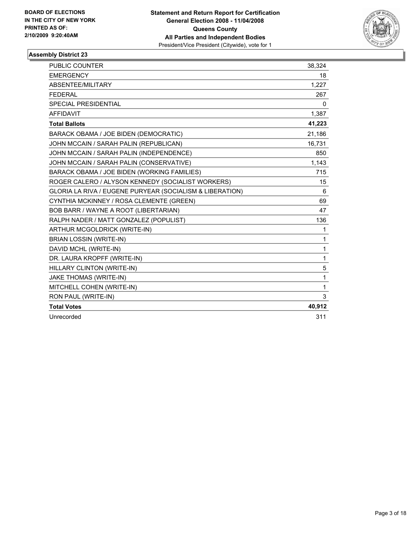

| Unrecorded                                               | 311          |
|----------------------------------------------------------|--------------|
| <b>Total Votes</b>                                       | 40,912       |
| RON PAUL (WRITE-IN)                                      | 3            |
| MITCHELL COHEN (WRITE-IN)                                | $\mathbf{1}$ |
| JAKE THOMAS (WRITE-IN)                                   | 1            |
| HILLARY CLINTON (WRITE-IN)                               | 5            |
| DR. LAURA KROPFF (WRITE-IN)                              | 1            |
| DAVID MCHL (WRITE-IN)                                    | 1            |
| <b>BRIAN LOSSIN (WRITE-IN)</b>                           | 1            |
| ARTHUR MCGOLDRICK (WRITE-IN)                             | 1            |
| RALPH NADER / MATT GONZALEZ (POPULIST)                   | 136          |
| BOB BARR / WAYNE A ROOT (LIBERTARIAN)                    | 47           |
| CYNTHIA MCKINNEY / ROSA CLEMENTE (GREEN)                 | 69           |
| GLORIA LA RIVA / EUGENE PURYEAR (SOCIALISM & LIBERATION) | 6            |
| ROGER CALERO / ALYSON KENNEDY (SOCIALIST WORKERS)        | 15           |
| BARACK OBAMA / JOE BIDEN (WORKING FAMILIES)              | 715          |
| JOHN MCCAIN / SARAH PALIN (CONSERVATIVE)                 | 1,143        |
| JOHN MCCAIN / SARAH PALIN (INDEPENDENCE)                 | 850          |
| JOHN MCCAIN / SARAH PALIN (REPUBLICAN)                   | 16,731       |
| BARACK OBAMA / JOE BIDEN (DEMOCRATIC)                    | 21,186       |
| <b>Total Ballots</b>                                     | 41,223       |
| <b>AFFIDAVIT</b>                                         | 1,387        |
| SPECIAL PRESIDENTIAL                                     | 0            |
| <b>FEDERAL</b>                                           | 267          |
| ABSENTEE/MILITARY                                        | 1,227        |
| <b>EMERGENCY</b>                                         | 18           |
| PUBLIC COUNTER                                           | 38,324       |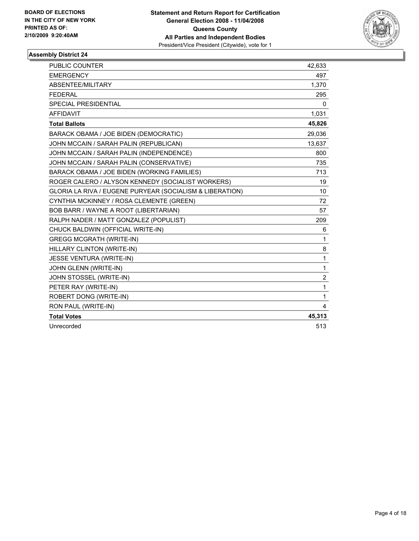

| <b>PUBLIC COUNTER</b>                                    | 42,633         |
|----------------------------------------------------------|----------------|
| <b>EMERGENCY</b>                                         | 497            |
| ABSENTEE/MILITARY                                        | 1,370          |
| <b>FEDERAL</b>                                           | 295            |
| <b>SPECIAL PRESIDENTIAL</b>                              | $\mathbf{0}$   |
| <b>AFFIDAVIT</b>                                         | 1,031          |
| <b>Total Ballots</b>                                     | 45,826         |
| BARACK OBAMA / JOE BIDEN (DEMOCRATIC)                    | 29.036         |
| JOHN MCCAIN / SARAH PALIN (REPUBLICAN)                   | 13,637         |
| JOHN MCCAIN / SARAH PALIN (INDEPENDENCE)                 | 800            |
| JOHN MCCAIN / SARAH PALIN (CONSERVATIVE)                 | 735            |
| BARACK OBAMA / JOE BIDEN (WORKING FAMILIES)              | 713            |
| ROGER CALERO / ALYSON KENNEDY (SOCIALIST WORKERS)        | 19             |
| GLORIA LA RIVA / EUGENE PURYEAR (SOCIALISM & LIBERATION) | 10             |
| CYNTHIA MCKINNEY / ROSA CLEMENTE (GREEN)                 | 72             |
| BOB BARR / WAYNE A ROOT (LIBERTARIAN)                    | 57             |
| RALPH NADER / MATT GONZALEZ (POPULIST)                   | 209            |
| CHUCK BALDWIN (OFFICIAL WRITE-IN)                        | 6              |
| <b>GREGG MCGRATH (WRITE-IN)</b>                          | 1              |
| HILLARY CLINTON (WRITE-IN)                               | 8              |
| JESSE VENTURA (WRITE-IN)                                 | 1              |
| JOHN GLENN (WRITE-IN)                                    | 1              |
| JOHN STOSSEL (WRITE-IN)                                  | $\overline{2}$ |
| PETER RAY (WRITE-IN)                                     | $\mathbf{1}$   |
| ROBERT DONG (WRITE-IN)                                   | 1              |
| RON PAUL (WRITE-IN)                                      | 4              |
| <b>Total Votes</b>                                       | 45,313         |
| Unrecorded                                               | 513            |
|                                                          |                |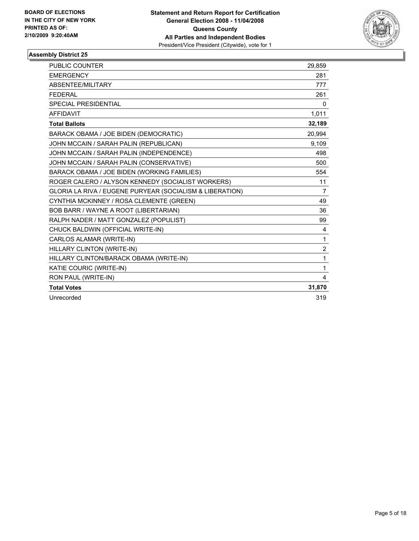

| <b>PUBLIC COUNTER</b>                                    | 29,859         |
|----------------------------------------------------------|----------------|
| <b>EMERGENCY</b>                                         | 281            |
| ABSENTEE/MILITARY                                        | 777            |
| <b>FEDERAL</b>                                           | 261            |
| <b>SPECIAL PRESIDENTIAL</b>                              | 0              |
| <b>AFFIDAVIT</b>                                         | 1,011          |
| <b>Total Ballots</b>                                     | 32,189         |
| BARACK OBAMA / JOE BIDEN (DEMOCRATIC)                    | 20,994         |
| JOHN MCCAIN / SARAH PALIN (REPUBLICAN)                   | 9,109          |
| JOHN MCCAIN / SARAH PALIN (INDEPENDENCE)                 | 498            |
| JOHN MCCAIN / SARAH PALIN (CONSERVATIVE)                 | 500            |
| BARACK OBAMA / JOE BIDEN (WORKING FAMILIES)              | 554            |
| ROGER CALERO / ALYSON KENNEDY (SOCIALIST WORKERS)        | 11             |
| GLORIA LA RIVA / EUGENE PURYEAR (SOCIALISM & LIBERATION) | $\overline{7}$ |
| CYNTHIA MCKINNEY / ROSA CLEMENTE (GREEN)                 | 49             |
| BOB BARR / WAYNE A ROOT (LIBERTARIAN)                    | 36             |
| RALPH NADER / MATT GONZALEZ (POPULIST)                   | 99             |
| CHUCK BALDWIN (OFFICIAL WRITE-IN)                        | 4              |
| CARLOS ALAMAR (WRITE-IN)                                 | 1              |
| HILLARY CLINTON (WRITE-IN)                               | $\overline{2}$ |
| HILLARY CLINTON/BARACK OBAMA (WRITE-IN)                  | 1              |
| KATIE COURIC (WRITE-IN)                                  | 1              |
| RON PAUL (WRITE-IN)                                      | 4              |
| <b>Total Votes</b>                                       | 31,870         |
| Unrecorded                                               | 319            |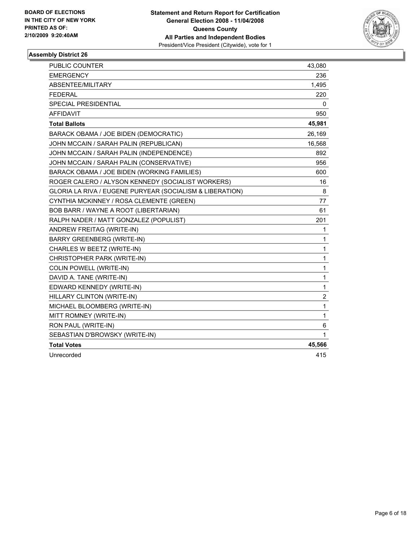

| <b>PUBLIC COUNTER</b>                                    | 43,080                  |
|----------------------------------------------------------|-------------------------|
| <b>EMERGENCY</b>                                         | 236                     |
| ABSENTEE/MILITARY                                        | 1,495                   |
| <b>FEDERAL</b>                                           | 220                     |
| SPECIAL PRESIDENTIAL                                     | 0                       |
| <b>AFFIDAVIT</b>                                         | 950                     |
| <b>Total Ballots</b>                                     | 45,981                  |
| BARACK OBAMA / JOE BIDEN (DEMOCRATIC)                    | 26,169                  |
| JOHN MCCAIN / SARAH PALIN (REPUBLICAN)                   | 16,568                  |
| JOHN MCCAIN / SARAH PALIN (INDEPENDENCE)                 | 892                     |
| JOHN MCCAIN / SARAH PALIN (CONSERVATIVE)                 | 956                     |
| BARACK OBAMA / JOE BIDEN (WORKING FAMILIES)              | 600                     |
| ROGER CALERO / ALYSON KENNEDY (SOCIALIST WORKERS)        | 16                      |
| GLORIA LA RIVA / EUGENE PURYEAR (SOCIALISM & LIBERATION) | 8                       |
| CYNTHIA MCKINNEY / ROSA CLEMENTE (GREEN)                 | 77                      |
| <b>BOB BARR / WAYNE A ROOT (LIBERTARIAN)</b>             | 61                      |
| RALPH NADER / MATT GONZALEZ (POPULIST)                   | 201                     |
| ANDREW FREITAG (WRITE-IN)                                | 1                       |
| BARRY GREENBERG (WRITE-IN)                               | 1                       |
| CHARLES W BEETZ (WRITE-IN)                               | 1                       |
| CHRISTOPHER PARK (WRITE-IN)                              | 1                       |
| <b>COLIN POWELL (WRITE-IN)</b>                           | 1                       |
| DAVID A. TANE (WRITE-IN)                                 | 1                       |
| EDWARD KENNEDY (WRITE-IN)                                | 1                       |
| HILLARY CLINTON (WRITE-IN)                               | $\overline{\mathbf{c}}$ |
| MICHAEL BLOOMBERG (WRITE-IN)                             | 1                       |
| MITT ROMNEY (WRITE-IN)                                   | 1                       |
| RON PAUL (WRITE-IN)                                      | 6                       |
| SEBASTIAN D'BROWSKY (WRITE-IN)                           | 1                       |
| <b>Total Votes</b>                                       | 45,566                  |
| Unrecorded                                               | 415                     |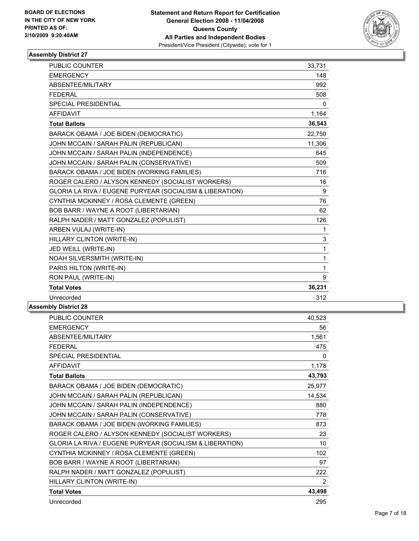

| <b>PUBLIC COUNTER</b>                                    | 33,731   |
|----------------------------------------------------------|----------|
| <b>EMERGENCY</b>                                         | 148      |
| ABSENTEE/MILITARY                                        | 992      |
| <b>FEDERAL</b>                                           | 508      |
| <b>SPECIAL PRESIDENTIAL</b>                              | $\Omega$ |
| <b>AFFIDAVIT</b>                                         | 1,164    |
| <b>Total Ballots</b>                                     | 36,543   |
| BARACK OBAMA / JOE BIDEN (DEMOCRATIC)                    | 22,750   |
| JOHN MCCAIN / SARAH PALIN (REPUBLICAN)                   | 11,306   |
| JOHN MCCAIN / SARAH PALIN (INDEPENDENCE)                 | 645      |
| JOHN MCCAIN / SARAH PALIN (CONSERVATIVE)                 | 509      |
| BARACK OBAMA / JOE BIDEN (WORKING FAMILIES)              | 716      |
| ROGER CALERO / ALYSON KENNEDY (SOCIALIST WORKERS)        | 16       |
| GLORIA LA RIVA / EUGENE PURYEAR (SOCIALISM & LIBERATION) | 9        |
| CYNTHIA MCKINNEY / ROSA CLEMENTE (GREEN)                 | 76       |
| BOB BARR / WAYNE A ROOT (LIBERTARIAN)                    | 62       |
| RALPH NADER / MATT GONZALEZ (POPULIST)                   | 126      |
| ARBEN VULAJ (WRITE-IN)                                   | 1        |
| HILLARY CLINTON (WRITE-IN)                               | 3        |
| JED WEILL (WRITE-IN)                                     | 1        |
| NOAH SILVERSMITH (WRITE-IN)                              | 1        |
| PARIS HILTON (WRITE-IN)                                  | 1        |
| RON PAUL (WRITE-IN)                                      | 9        |
| <b>Total Votes</b>                                       | 36,231   |
| Unrecorded                                               | 312      |

| <b>PUBLIC COUNTER</b>                                    | 40,523 |
|----------------------------------------------------------|--------|
| <b>EMERGENCY</b>                                         | 56     |
| ABSENTEE/MILITARY                                        | 1,561  |
| <b>FEDERAL</b>                                           | 475    |
| <b>SPECIAL PRESIDENTIAL</b>                              | 0      |
| <b>AFFIDAVIT</b>                                         | 1,178  |
| <b>Total Ballots</b>                                     | 43,793 |
| BARACK OBAMA / JOE BIDEN (DEMOCRATIC)                    | 25,977 |
| JOHN MCCAIN / SARAH PALIN (REPUBLICAN)                   | 14,534 |
| JOHN MCCAIN / SARAH PALIN (INDEPENDENCE)                 | 880    |
| JOHN MCCAIN / SARAH PALIN (CONSERVATIVE)                 | 778    |
| BARACK OBAMA / JOE BIDEN (WORKING FAMILIES)              | 873    |
| ROGER CALERO / ALYSON KENNEDY (SOCIALIST WORKERS)        | 23     |
| GLORIA LA RIVA / EUGENE PURYEAR (SOCIALISM & LIBERATION) | 10     |
| CYNTHIA MCKINNEY / ROSA CLEMENTE (GREEN)                 | 102    |
| BOB BARR / WAYNE A ROOT (LIBERTARIAN)                    | 97     |
| RALPH NADER / MATT GONZALEZ (POPULIST)                   | 222    |
| HILLARY CLINTON (WRITE-IN)                               | 2      |
| <b>Total Votes</b>                                       | 43,498 |
| Unrecorded                                               | 295    |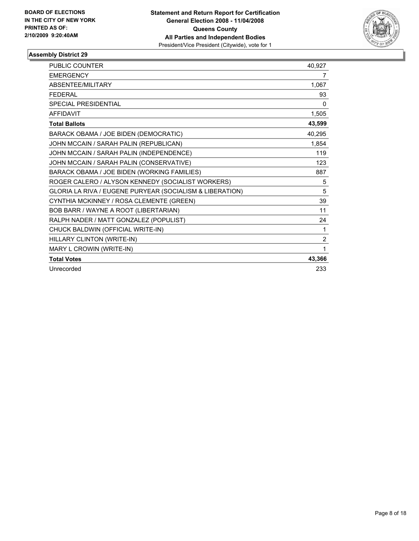

| <b>PUBLIC COUNTER</b>                                    | 40,927         |
|----------------------------------------------------------|----------------|
| <b>EMERGENCY</b>                                         | 7              |
| <b>ABSENTEE/MILITARY</b>                                 | 1,067          |
| <b>FFDFRAL</b>                                           | 93             |
| <b>SPECIAL PRESIDENTIAL</b>                              | 0              |
| <b>AFFIDAVIT</b>                                         | 1,505          |
| <b>Total Ballots</b>                                     | 43,599         |
| BARACK OBAMA / JOE BIDEN (DEMOCRATIC)                    | 40,295         |
| JOHN MCCAIN / SARAH PALIN (REPUBLICAN)                   | 1,854          |
| JOHN MCCAIN / SARAH PALIN (INDEPENDENCE)                 | 119            |
| JOHN MCCAIN / SARAH PALIN (CONSERVATIVE)                 | 123            |
| BARACK OBAMA / JOE BIDEN (WORKING FAMILIES)              | 887            |
| ROGER CALERO / ALYSON KENNEDY (SOCIALIST WORKERS)        | 5              |
| GLORIA LA RIVA / EUGENE PURYEAR (SOCIALISM & LIBERATION) | 5              |
| CYNTHIA MCKINNEY / ROSA CLEMENTE (GREEN)                 | 39             |
| BOB BARR / WAYNE A ROOT (LIBERTARIAN)                    | 11             |
| RALPH NADER / MATT GONZALEZ (POPULIST)                   | 24             |
| CHUCK BALDWIN (OFFICIAL WRITE-IN)                        | 1              |
| HILLARY CLINTON (WRITE-IN)                               | $\overline{2}$ |
| MARY L CROWIN (WRITE-IN)                                 | 1              |
| <b>Total Votes</b>                                       | 43,366         |
| Unrecorded                                               | 233            |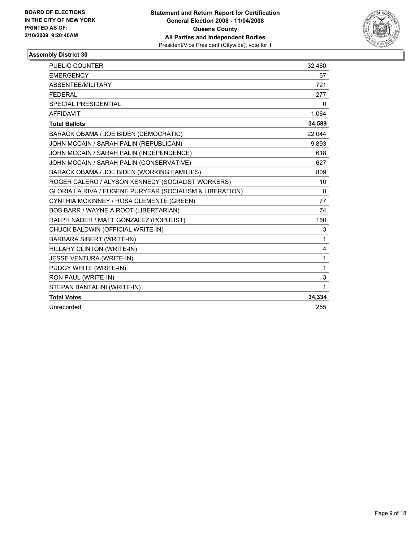

| PUBLIC COUNTER                                           | 32,460 |
|----------------------------------------------------------|--------|
| <b>EMERGENCY</b>                                         | 67     |
| ABSENTEE/MILITARY                                        | 721    |
| <b>FEDERAL</b>                                           | 277    |
| SPECIAL PRESIDENTIAL                                     | 0      |
| <b>AFFIDAVIT</b>                                         | 1,064  |
| <b>Total Ballots</b>                                     | 34,589 |
| BARACK OBAMA / JOE BIDEN (DEMOCRATIC)                    | 22,044 |
| JOHN MCCAIN / SARAH PALIN (REPUBLICAN)                   | 9,893  |
| JOHN MCCAIN / SARAH PALIN (INDEPENDENCE)                 | 618    |
| JOHN MCCAIN / SARAH PALIN (CONSERVATIVE)                 | 627    |
| BARACK OBAMA / JOE BIDEN (WORKING FAMILIES)              | 809    |
| ROGER CALERO / ALYSON KENNEDY (SOCIALIST WORKERS)        | 10     |
| GLORIA LA RIVA / EUGENE PURYEAR (SOCIALISM & LIBERATION) | 8      |
| CYNTHIA MCKINNEY / ROSA CLEMENTE (GREEN)                 | 77     |
| BOB BARR / WAYNE A ROOT (LIBERTARIAN)                    | 74     |
| RALPH NADER / MATT GONZALEZ (POPULIST)                   | 160    |
| CHUCK BALDWIN (OFFICIAL WRITE-IN)                        | 3      |
| <b>BARBARA SIBERT (WRITE-IN)</b>                         | 1      |
| HILLARY CLINTON (WRITE-IN)                               | 4      |
| JESSE VENTURA (WRITE-IN)                                 | 1      |
| PUDGY WHITE (WRITE-IN)                                   | 1      |
| RON PAUL (WRITE-IN)                                      | 3      |
| STEPAN BANTALINI (WRITE-IN)                              | 1      |
| <b>Total Votes</b>                                       | 34,334 |
| Unrecorded                                               | 255    |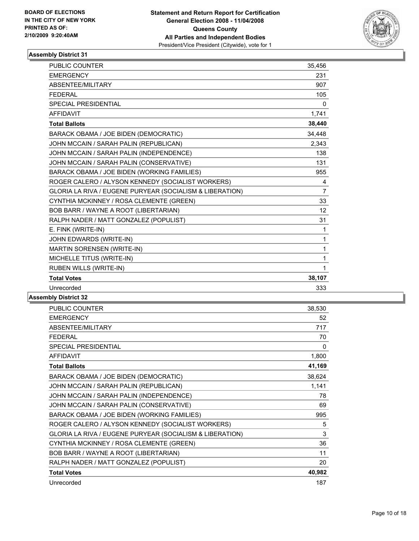

| <b>PUBLIC COUNTER</b>                                    | 35,456          |
|----------------------------------------------------------|-----------------|
| <b>EMERGENCY</b>                                         | 231             |
| ABSENTEE/MILITARY                                        | 907             |
| <b>FEDERAL</b>                                           | 105             |
| <b>SPECIAL PRESIDENTIAL</b>                              | 0               |
| <b>AFFIDAVIT</b>                                         | 1,741           |
| <b>Total Ballots</b>                                     | 38,440          |
| BARACK OBAMA / JOE BIDEN (DEMOCRATIC)                    | 34,448          |
| JOHN MCCAIN / SARAH PALIN (REPUBLICAN)                   | 2,343           |
| JOHN MCCAIN / SARAH PALIN (INDEPENDENCE)                 | 138             |
| JOHN MCCAIN / SARAH PALIN (CONSERVATIVE)                 | 131             |
| BARACK OBAMA / JOE BIDEN (WORKING FAMILIES)              | 955             |
| ROGER CALERO / ALYSON KENNEDY (SOCIALIST WORKERS)        | 4               |
| GLORIA LA RIVA / EUGENE PURYEAR (SOCIALISM & LIBERATION) | $\overline{7}$  |
| CYNTHIA MCKINNEY / ROSA CLEMENTE (GREEN)                 | 33              |
| BOB BARR / WAYNE A ROOT (LIBERTARIAN)                    | 12 <sup>°</sup> |
| RALPH NADER / MATT GONZALEZ (POPULIST)                   | 31              |
| E. FINK (WRITE-IN)                                       | 1               |
| JOHN EDWARDS (WRITE-IN)                                  | 1               |
| MARTIN SORENSEN (WRITE-IN)                               | 1               |
| MICHELLE TITUS (WRITE-IN)                                | 1               |
| RUBEN WILLS (WRITE-IN)                                   | 1               |
| <b>Total Votes</b>                                       | 38,107          |
| Unrecorded                                               | 333             |
|                                                          |                 |

| <b>PUBLIC COUNTER</b>                                    | 38,530 |
|----------------------------------------------------------|--------|
| <b>EMERGENCY</b>                                         | 52     |
| ABSENTEE/MILITARY                                        | 717    |
| <b>FEDERAL</b>                                           | 70     |
| SPECIAL PRESIDENTIAL                                     | 0      |
| <b>AFFIDAVIT</b>                                         | 1,800  |
| <b>Total Ballots</b>                                     | 41,169 |
| BARACK OBAMA / JOE BIDEN (DEMOCRATIC)                    | 38,624 |
| JOHN MCCAIN / SARAH PALIN (REPUBLICAN)                   | 1,141  |
| JOHN MCCAIN / SARAH PALIN (INDEPENDENCE)                 | 78     |
| JOHN MCCAIN / SARAH PALIN (CONSERVATIVE)                 | 69     |
| BARACK OBAMA / JOE BIDEN (WORKING FAMILIES)              | 995    |
| ROGER CALERO / ALYSON KENNEDY (SOCIALIST WORKERS)        | 5      |
| GLORIA LA RIVA / EUGENE PURYEAR (SOCIALISM & LIBERATION) | 3      |
| CYNTHIA MCKINNEY / ROSA CLEMENTE (GREEN)                 | 36     |
| BOB BARR / WAYNE A ROOT (LIBERTARIAN)                    | 11     |
| RALPH NADER / MATT GONZALEZ (POPULIST)                   | 20     |
| <b>Total Votes</b>                                       | 40,982 |
| Unrecorded                                               | 187    |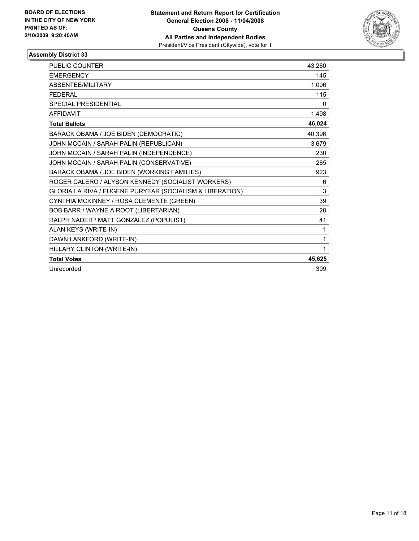

| PUBLIC COUNTER                                           | 43,260 |
|----------------------------------------------------------|--------|
| <b>EMERGENCY</b>                                         | 145    |
| ABSENTEE/MILITARY                                        | 1,006  |
| <b>FEDERAL</b>                                           | 115    |
| <b>SPECIAL PRESIDENTIAL</b>                              | 0      |
| <b>AFFIDAVIT</b>                                         | 1,498  |
| <b>Total Ballots</b>                                     | 46,024 |
| BARACK OBAMA / JOE BIDEN (DEMOCRATIC)                    | 40,396 |
| JOHN MCCAIN / SARAH PALIN (REPUBLICAN)                   | 3,679  |
| JOHN MCCAIN / SARAH PALIN (INDEPENDENCE)                 | 230    |
| JOHN MCCAIN / SARAH PALIN (CONSERVATIVE)                 | 285    |
| BARACK OBAMA / JOE BIDEN (WORKING FAMILIES)              | 923    |
| ROGER CALERO / ALYSON KENNEDY (SOCIALIST WORKERS)        | 6      |
| GLORIA LA RIVA / EUGENE PURYEAR (SOCIALISM & LIBERATION) | 3      |
| CYNTHIA MCKINNEY / ROSA CLEMENTE (GREEN)                 | 39     |
| BOB BARR / WAYNE A ROOT (LIBERTARIAN)                    | 20     |
| RALPH NADER / MATT GONZALEZ (POPULIST)                   | 41     |
| ALAN KEYS (WRITE-IN)                                     | 1      |
| DAWN LANKFORD (WRITE-IN)                                 | 1      |
| HILLARY CLINTON (WRITE-IN)                               |        |
| <b>Total Votes</b>                                       | 45,625 |
| Unrecorded                                               | 399    |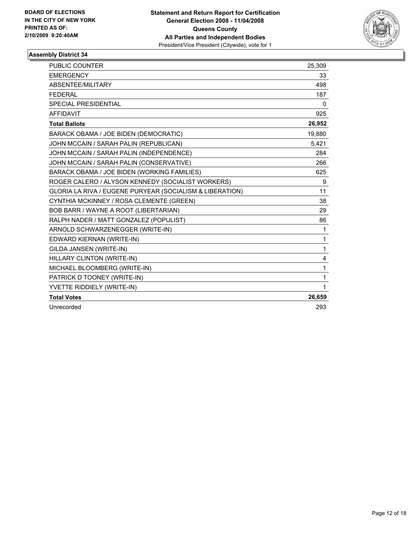

| <b>PUBLIC COUNTER</b>                                    | 25,309 |
|----------------------------------------------------------|--------|
| <b>EMERGENCY</b>                                         | 33     |
| ABSENTEE/MILITARY                                        | 498    |
| <b>FEDERAL</b>                                           | 187    |
| SPECIAL PRESIDENTIAL                                     | 0      |
| <b>AFFIDAVIT</b>                                         | 925    |
| <b>Total Ballots</b>                                     | 26,952 |
| BARACK OBAMA / JOE BIDEN (DEMOCRATIC)                    | 19,880 |
| JOHN MCCAIN / SARAH PALIN (REPUBLICAN)                   | 5,421  |
| JOHN MCCAIN / SARAH PALIN (INDEPENDENCE)                 | 284    |
| JOHN MCCAIN / SARAH PALIN (CONSERVATIVE)                 | 266    |
| BARACK OBAMA / JOE BIDEN (WORKING FAMILIES)              | 625    |
| ROGER CALERO / ALYSON KENNEDY (SOCIALIST WORKERS)        | 9      |
| GLORIA LA RIVA / EUGENE PURYEAR (SOCIALISM & LIBERATION) | 11     |
| CYNTHIA MCKINNEY / ROSA CLEMENTE (GREEN)                 | 38     |
| BOB BARR / WAYNE A ROOT (LIBERTARIAN)                    | 29     |
| RALPH NADER / MATT GONZALEZ (POPULIST)                   | 86     |
| ARNOLD SCHWARZENEGGER (WRITE-IN)                         | 1      |
| EDWARD KIERNAN (WRITE-IN)                                | 1      |
| GILDA JANSEN (WRITE-IN)                                  | 1      |
| HILLARY CLINTON (WRITE-IN)                               | 4      |
| MICHAEL BLOOMBERG (WRITE-IN)                             | 1      |
| PATRICK D TOONEY (WRITE-IN)                              | 1      |
| YVETTE RIDDIELY (WRITE-IN)                               | 1      |
| <b>Total Votes</b>                                       | 26,659 |
| Unrecorded                                               | 293    |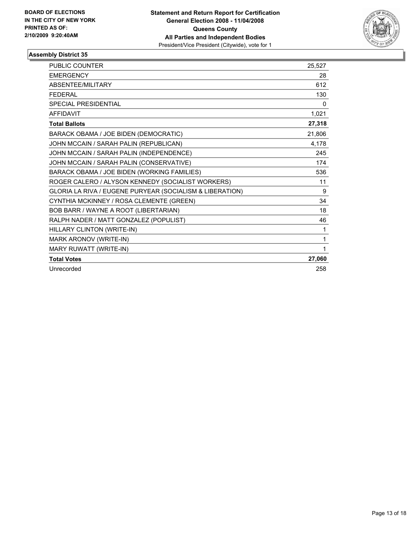

| <b>PUBLIC COUNTER</b>                                    | 25,527       |
|----------------------------------------------------------|--------------|
| <b>EMERGENCY</b>                                         | 28           |
| <b>ABSENTEE/MILITARY</b>                                 | 612          |
| <b>FEDERAL</b>                                           | 130          |
| <b>SPECIAL PRESIDENTIAL</b>                              | $\mathbf{0}$ |
| <b>AFFIDAVIT</b>                                         | 1,021        |
| <b>Total Ballots</b>                                     | 27,318       |
| BARACK OBAMA / JOE BIDEN (DEMOCRATIC)                    | 21,806       |
| JOHN MCCAIN / SARAH PALIN (REPUBLICAN)                   | 4,178        |
| JOHN MCCAIN / SARAH PALIN (INDEPENDENCE)                 | 245          |
| JOHN MCCAIN / SARAH PALIN (CONSERVATIVE)                 | 174          |
| BARACK OBAMA / JOE BIDEN (WORKING FAMILIES)              | 536          |
| ROGER CALERO / ALYSON KENNEDY (SOCIALIST WORKERS)        | 11           |
| GLORIA LA RIVA / EUGENE PURYEAR (SOCIALISM & LIBERATION) | 9            |
| CYNTHIA MCKINNEY / ROSA CLEMENTE (GREEN)                 | 34           |
| BOB BARR / WAYNE A ROOT (LIBERTARIAN)                    | 18           |
| RALPH NADER / MATT GONZALEZ (POPULIST)                   | 46           |
| HILLARY CLINTON (WRITE-IN)                               | 1            |
| MARK ARONOV (WRITE-IN)                                   | 1            |
| MARY RUWATT (WRITE-IN)                                   |              |
| <b>Total Votes</b>                                       | 27,060       |
| Unrecorded                                               | 258          |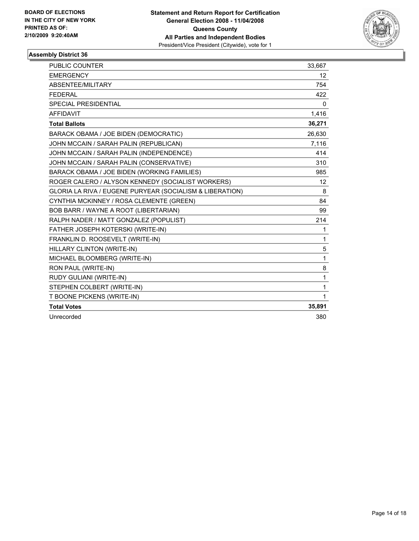

| PUBLIC COUNTER                                           | 33,667          |
|----------------------------------------------------------|-----------------|
| <b>EMERGENCY</b>                                         | 12 <sup>°</sup> |
| ABSENTEE/MILITARY                                        | 754             |
| <b>FEDERAL</b>                                           | 422             |
| SPECIAL PRESIDENTIAL                                     | 0               |
| <b>AFFIDAVIT</b>                                         | 1,416           |
| <b>Total Ballots</b>                                     | 36,271          |
| BARACK OBAMA / JOE BIDEN (DEMOCRATIC)                    | 26,630          |
| JOHN MCCAIN / SARAH PALIN (REPUBLICAN)                   | 7,116           |
| JOHN MCCAIN / SARAH PALIN (INDEPENDENCE)                 | 414             |
| JOHN MCCAIN / SARAH PALIN (CONSERVATIVE)                 | 310             |
| BARACK OBAMA / JOE BIDEN (WORKING FAMILIES)              | 985             |
| ROGER CALERO / ALYSON KENNEDY (SOCIALIST WORKERS)        | 12              |
| GLORIA LA RIVA / EUGENE PURYEAR (SOCIALISM & LIBERATION) | 8               |
| CYNTHIA MCKINNEY / ROSA CLEMENTE (GREEN)                 | 84              |
| BOB BARR / WAYNE A ROOT (LIBERTARIAN)                    | 99              |
| RALPH NADER / MATT GONZALEZ (POPULIST)                   | 214             |
| FATHER JOSEPH KOTERSKI (WRITE-IN)                        | 1               |
| FRANKLIN D. ROOSEVELT (WRITE-IN)                         | 1               |
| HILLARY CLINTON (WRITE-IN)                               | 5               |
| MICHAEL BLOOMBERG (WRITE-IN)                             | 1               |
| RON PAUL (WRITE-IN)                                      | 8               |
| RUDY GULIANI (WRITE-IN)                                  | 1               |
| STEPHEN COLBERT (WRITE-IN)                               | 1               |
| T BOONE PICKENS (WRITE-IN)                               | 1               |
| <b>Total Votes</b>                                       | 35,891          |
| Unrecorded                                               | 380             |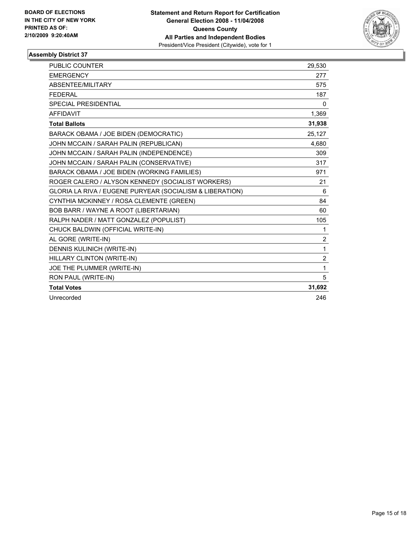

| PUBLIC COUNTER                                           | 29,530         |
|----------------------------------------------------------|----------------|
| <b>EMERGENCY</b>                                         | 277            |
| ABSENTEE/MILITARY                                        | 575            |
| <b>FEDERAL</b>                                           | 187            |
| SPECIAL PRESIDENTIAL                                     | 0              |
| <b>AFFIDAVIT</b>                                         | 1,369          |
| <b>Total Ballots</b>                                     | 31,938         |
| BARACK OBAMA / JOE BIDEN (DEMOCRATIC)                    | 25.127         |
| JOHN MCCAIN / SARAH PALIN (REPUBLICAN)                   | 4.680          |
| JOHN MCCAIN / SARAH PALIN (INDEPENDENCE)                 | 309            |
| JOHN MCCAIN / SARAH PALIN (CONSERVATIVE)                 | 317            |
| BARACK OBAMA / JOE BIDEN (WORKING FAMILIES)              | 971            |
| ROGER CALERO / ALYSON KENNEDY (SOCIALIST WORKERS)        | 21             |
| GLORIA LA RIVA / EUGENE PURYEAR (SOCIALISM & LIBERATION) | 6              |
| CYNTHIA MCKINNEY / ROSA CLEMENTE (GREEN)                 | 84             |
| BOB BARR / WAYNE A ROOT (LIBERTARIAN)                    | 60             |
| RALPH NADER / MATT GONZALEZ (POPULIST)                   | 105            |
| CHUCK BALDWIN (OFFICIAL WRITE-IN)                        | 1              |
| AL GORE (WRITE-IN)                                       | 2              |
| <b>DENNIS KULINICH (WRITE-IN)</b>                        | 1              |
| HILLARY CLINTON (WRITE-IN)                               | $\overline{2}$ |
| JOE THE PLUMMER (WRITE-IN)                               | 1              |
| RON PAUL (WRITE-IN)                                      | 5              |
| <b>Total Votes</b>                                       | 31,692         |
| Unrecorded                                               | 246            |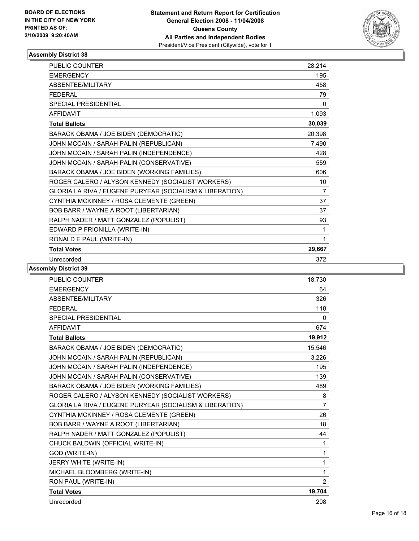

| <b>PUBLIC COUNTER</b>                                    | 28,214         |
|----------------------------------------------------------|----------------|
| <b>EMERGENCY</b>                                         | 195            |
| <b>ABSENTEE/MILITARY</b>                                 | 458            |
| <b>FEDERAL</b>                                           | 79             |
| <b>SPECIAL PRESIDENTIAL</b>                              | 0              |
| <b>AFFIDAVIT</b>                                         | 1,093          |
| <b>Total Ballots</b>                                     | 30,039         |
| BARACK OBAMA / JOE BIDEN (DEMOCRATIC)                    | 20,398         |
| JOHN MCCAIN / SARAH PALIN (REPUBLICAN)                   | 7,490          |
| JOHN MCCAIN / SARAH PALIN (INDEPENDENCE)                 | 428            |
| JOHN MCCAIN / SARAH PALIN (CONSERVATIVE)                 | 559            |
| BARACK OBAMA / JOE BIDEN (WORKING FAMILIES)              | 606            |
| ROGER CALERO / ALYSON KENNEDY (SOCIALIST WORKERS)        | 10             |
| GLORIA LA RIVA / EUGENE PURYEAR (SOCIALISM & LIBERATION) | $\overline{7}$ |
| CYNTHIA MCKINNEY / ROSA CLEMENTE (GREEN)                 | 37             |
| BOB BARR / WAYNE A ROOT (LIBERTARIAN)                    | 37             |
| RALPH NADER / MATT GONZALEZ (POPULIST)                   | 93             |
| EDWARD P FRIONILLA (WRITE-IN)                            | 1              |
| RONALD E PAUL (WRITE-IN)                                 |                |
| <b>Total Votes</b>                                       | 29,667         |
| Unrecorded                                               | 372            |

| <b>PUBLIC COUNTER</b>                                    | 18,730         |
|----------------------------------------------------------|----------------|
| <b>EMERGENCY</b>                                         | 64             |
| ABSENTEE/MILITARY                                        | 326            |
| <b>FEDERAL</b>                                           | 118            |
| <b>SPECIAL PRESIDENTIAL</b>                              | 0              |
| <b>AFFIDAVIT</b>                                         | 674            |
| <b>Total Ballots</b>                                     | 19,912         |
| BARACK OBAMA / JOE BIDEN (DEMOCRATIC)                    | 15,546         |
| JOHN MCCAIN / SARAH PALIN (REPUBLICAN)                   | 3.226          |
| JOHN MCCAIN / SARAH PALIN (INDEPENDENCE)                 | 195            |
| JOHN MCCAIN / SARAH PALIN (CONSERVATIVE)                 | 139            |
| BARACK OBAMA / JOE BIDEN (WORKING FAMILIES)              | 489            |
| ROGER CALERO / ALYSON KENNEDY (SOCIALIST WORKERS)        | 8              |
| GLORIA LA RIVA / EUGENE PURYEAR (SOCIALISM & LIBERATION) | $\overline{7}$ |
| CYNTHIA MCKINNEY / ROSA CLEMENTE (GREEN)                 | 26             |
| BOB BARR / WAYNE A ROOT (LIBERTARIAN)                    | 18             |
| RALPH NADER / MATT GONZALEZ (POPULIST)                   | 44             |
| CHUCK BALDWIN (OFFICIAL WRITE-IN)                        | 1              |
| GOD (WRITE-IN)                                           | 1              |
| JERRY WHITE (WRITE-IN)                                   | 1              |
| MICHAEL BLOOMBERG (WRITE-IN)                             | 1              |
| RON PAUL (WRITE-IN)                                      | $\overline{2}$ |
| <b>Total Votes</b>                                       | 19,704         |
| Unrecorded                                               | 208            |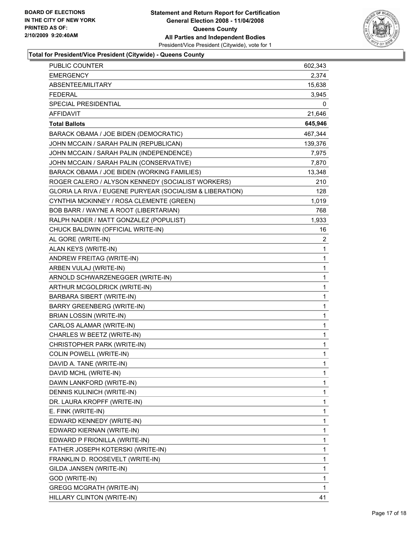

### **Total for President/Vice President (Citywide) - Queens County**

| PUBLIC COUNTER                                           | 602,343 |
|----------------------------------------------------------|---------|
| <b>EMERGENCY</b>                                         | 2,374   |
| ABSENTEE/MILITARY                                        | 15,638  |
| <b>FEDERAL</b>                                           | 3,945   |
| SPECIAL PRESIDENTIAL                                     | 0       |
| <b>AFFIDAVIT</b>                                         | 21,646  |
| <b>Total Ballots</b>                                     | 645,946 |
| BARACK OBAMA / JOE BIDEN (DEMOCRATIC)                    | 467,344 |
| JOHN MCCAIN / SARAH PALIN (REPUBLICAN)                   | 139,376 |
| JOHN MCCAIN / SARAH PALIN (INDEPENDENCE)                 | 7,975   |
| JOHN MCCAIN / SARAH PALIN (CONSERVATIVE)                 | 7,870   |
| BARACK OBAMA / JOE BIDEN (WORKING FAMILIES)              | 13,348  |
| ROGER CALERO / ALYSON KENNEDY (SOCIALIST WORKERS)        | 210     |
| GLORIA LA RIVA / EUGENE PURYEAR (SOCIALISM & LIBERATION) | 128     |
| CYNTHIA MCKINNEY / ROSA CLEMENTE (GREEN)                 | 1,019   |
| BOB BARR / WAYNE A ROOT (LIBERTARIAN)                    | 768     |
| RALPH NADER / MATT GONZALEZ (POPULIST)                   | 1,933   |
| CHUCK BALDWIN (OFFICIAL WRITE-IN)                        | 16      |
| AL GORE (WRITE-IN)                                       | 2       |
| ALAN KEYS (WRITE-IN)                                     | 1       |
| ANDREW FREITAG (WRITE-IN)                                | 1       |
| ARBEN VULAJ (WRITE-IN)                                   | 1       |
| ARNOLD SCHWARZENEGGER (WRITE-IN)                         | 1       |
| ARTHUR MCGOLDRICK (WRITE-IN)                             | 1       |
| BARBARA SIBERT (WRITE-IN)                                | 1       |
| <b>BARRY GREENBERG (WRITE-IN)</b>                        | 1       |
| <b>BRIAN LOSSIN (WRITE-IN)</b>                           | 1       |
| CARLOS ALAMAR (WRITE-IN)                                 | 1       |
| CHARLES W BEETZ (WRITE-IN)                               | 1       |
| CHRISTOPHER PARK (WRITE-IN)                              | 1       |
| <b>COLIN POWELL (WRITE-IN)</b>                           | 1       |
| DAVID A. TANE (WRITE-IN)                                 | 1       |
| DAVID MCHL (WRITE-IN)                                    | 1       |
| DAWN LANKFORD (WRITE-IN)                                 | 1       |
| DENNIS KULINICH (WRITE-IN)                               | 1       |
| DR. LAURA KROPFF (WRITE-IN)                              | 1       |
| E. FINK (WRITE-IN)                                       | 1       |
| EDWARD KENNEDY (WRITE-IN)                                | 1       |
| EDWARD KIERNAN (WRITE-IN)                                | 1       |
| EDWARD P FRIONILLA (WRITE-IN)                            | 1       |
| FATHER JOSEPH KOTERSKI (WRITE-IN)                        | 1       |
| FRANKLIN D. ROOSEVELT (WRITE-IN)                         | 1       |
| GILDA JANSEN (WRITE-IN)                                  | 1       |
| GOD (WRITE-IN)                                           | 1       |
| <b>GREGG MCGRATH (WRITE-IN)</b>                          | 1       |
| HILLARY CLINTON (WRITE-IN)                               | 41      |